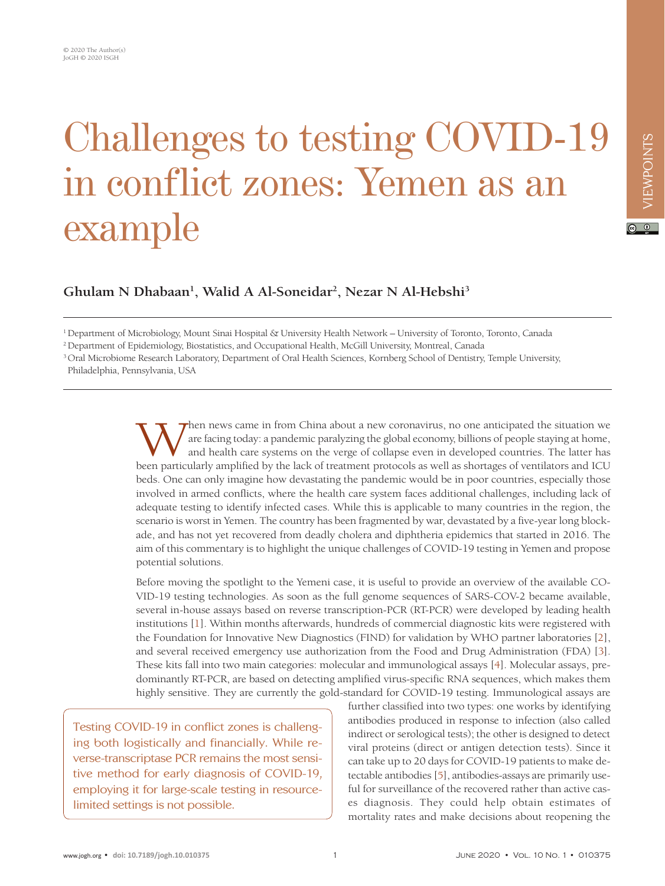## Challenges to testing COVID-19 in conflict zones: Yemen as an example

**Ghulam N Dhabaan1 , Walid A Al-Soneidar2 , Nezar N Al-Hebshi3**

1 Department of Microbiology, Mount Sinai Hospital & University Health Network – University of Toronto, Toronto, Canada

2 Department of Epidemiology, Biostatistics, and Occupational Health, McGill University, Montreal, Canada

<sup>3</sup> Oral Microbiome Research Laboratory, Department of Oral Health Sciences, Kornberg School of Dentistry, Temple University, Philadelphia, Pennsylvania, USA

> Then news came in from China about a new coronavirus, no one anticipated the situation we<br>are facing today: a pandemic paralyzing the global economy, billions of people staying at home,<br>and health care systems on the verge are facing today: a pandemic paralyzing the global economy, billions of people staying at home, and health care systems on the verge of collapse even in developed countries. The latter has been particularly amplified by the lack of treatment protocols as well as shortages of ventilators and ICU beds. One can only imagine how devastating the pandemic would be in poor countries, especially those involved in armed conflicts, where the health care system faces additional challenges, including lack of adequate testing to identify infected cases. While this is applicable to many countries in the region, the scenario is worst in Yemen. The country has been fragmented by war, devastated by a five-year long blockade, and has not yet recovered from deadly cholera and diphtheria epidemics that started in 2016. The aim of this commentary is to highlight the unique challenges of COVID-19 testing in Yemen and propose potential solutions.

> Before moving the spotlight to the Yemeni case, it is useful to provide an overview of the available CO-VID-19 testing technologies. As soon as the full genome sequences of SARS-COV-2 became available, several in-house assays based on reverse transcription-PCR (RT-PCR) were developed by leading health institutions [\[1](#page-2-0)]. Within months afterwards, hundreds of commercial diagnostic kits were registered with the Foundation for Innovative New Diagnostics (FIND) for validation by WHO partner laboratories [[2\]](#page-2-1), and several received emergency use authorization from the Food and Drug Administration (FDA) [[3\]](#page-2-2). These kits fall into two main categories: molecular and immunological assays [[4](#page-2-3)]. Molecular assays, predominantly RT-PCR, are based on detecting amplified virus-specific RNA sequences, which makes them highly sensitive. They are currently the gold-standard for COVID-19 testing. Immunological assays are

Testing COVID-19 in conflict zones is challenging both logistically and financially. While reverse-transcriptase PCR remains the most sensitive method for early diagnosis of COVID-19, employing it for large-scale testing in resourcelimited settings is not possible.

further classified into two types: one works by identifying antibodies produced in response to infection (also called indirect or serological tests); the other is designed to detect viral proteins (direct or antigen detection tests). Since it can take up to 20 days for COVID-19 patients to make detectable antibodies [\[5](#page-2-4)], antibodies-assays are primarily useful for surveillance of the recovered rather than active cases diagnosis. They could help obtain estimates of mortality rates and make decisions about reopening the

 $\boxed{6}$  0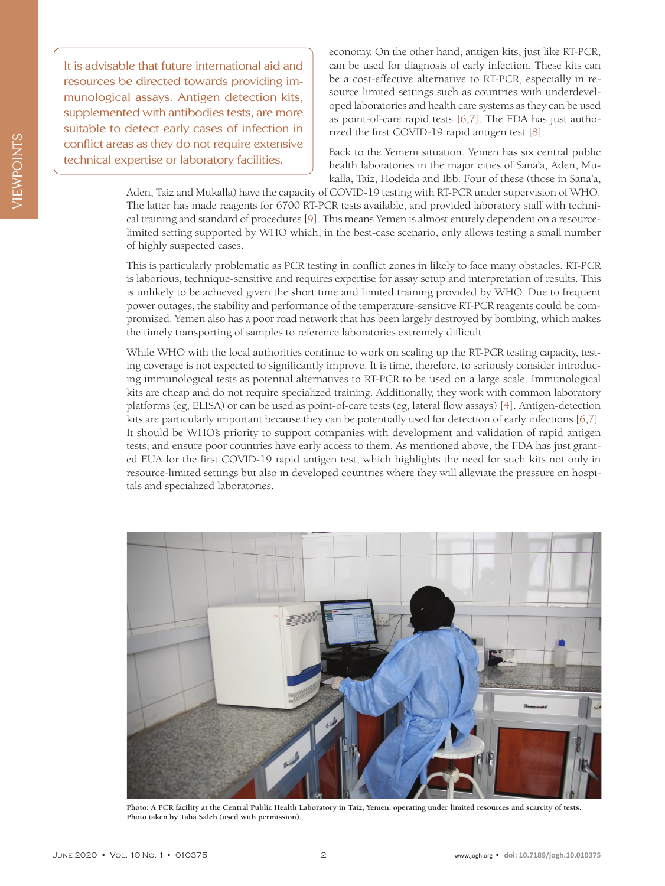It is advisable that future international aid and resources be directed towards providing immunological assays. Antigen detection kits, supplemented with antibodies tests, are more suitable to detect early cases of infection in conflict areas as they do not require extensive technical expertise or laboratory facilities.

economy. On the other hand, antigen kits, just like RT-PCR, can be used for diagnosis of early infection. These kits can be a cost-effective alternative to RT-PCR, especially in resource limited settings such as countries with underdeveloped laboratories and health care systems as they can be used as point-of-care rapid tests  $[6,7]$  $[6,7]$ . The FDA has just authorized the first COVID-19 rapid antigen test [[8](#page-2-7)].

Back to the Yemeni situation. Yemen has six central public health laboratories in the major cities of Sana'a, Aden, Mukalla, Taiz, Hodeida and Ibb. Four of these (those in Sana'a,

Aden, Taiz and Mukalla) have the capacity of COVID-19 testing with RT-PCR under supervision of WHO. The latter has made reagents for 6700 RT-PCR tests available, and provided laboratory staff with technical training and standard of procedures [[9\]](#page-2-8). This means Yemen is almost entirely dependent on a resourcelimited setting supported by WHO which, in the best-case scenario, only allows testing a small number of highly suspected cases.

This is particularly problematic as PCR testing in conflict zones in likely to face many obstacles. RT-PCR is laborious, technique-sensitive and requires expertise for assay setup and interpretation of results. This is unlikely to be achieved given the short time and limited training provided by WHO. Due to frequent power outages, the stability and performance of the temperature-sensitive RT-PCR reagents could be compromised. Yemen also has a poor road network that has been largely destroyed by bombing, which makes the timely transporting of samples to reference laboratories extremely difficult.

While WHO with the local authorities continue to work on scaling up the RT-PCR testing capacity, testing coverage is not expected to significantly improve. It is time, therefore, to seriously consider introducing immunological tests as potential alternatives to RT-PCR to be used on a large scale. Immunological kits are cheap and do not require specialized training. Additionally, they work with common laboratory platforms (eg, ELISA) or can be used as point-of-care tests (eg, lateral flow assays) [\[4](#page-2-3)]. Antigen-detection kits are particularly important because they can be potentially used for detection of early infections [\[6](#page-2-5)[,7](#page-2-6)]. It should be WHO's priority to support companies with development and validation of rapid antigen tests, and ensure poor countries have early access to them. As mentioned above, the FDA has just granted EUA for the first COVID-19 rapid antigen test, which highlights the need for such kits not only in resource-limited settings but also in developed countries where they will alleviate the pressure on hospitals and specialized laboratories.



**Photo: A PCR facility at the Central Public Health Laboratory in Taiz, Yemen, operating under limited resources and scarcity of tests. Photo taken by Taha Saleh (used with permission).**